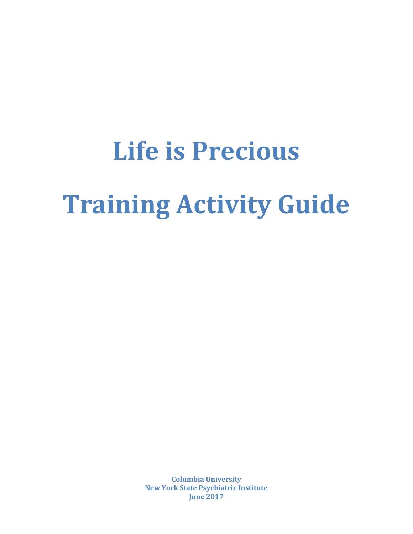# **Life is Precious Training Activity Guide**

**Columbia University New York State Psychiatric Institute June 2017**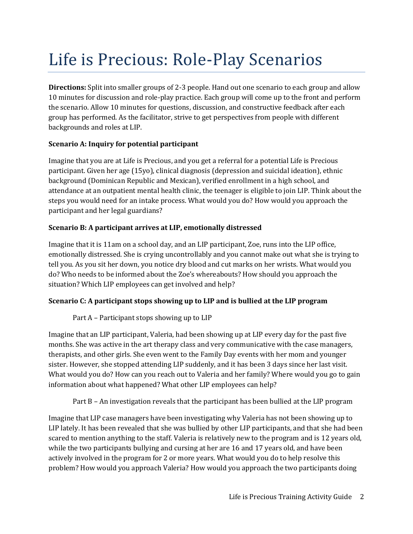# Life is Precious: Role-Play Scenarios

**Directions:** Split into smaller groups of 2-3 people. Hand out one scenario to each group and allow 10 minutes for discussion and role-play practice. Each group will come up to the front and perform the scenario. Allow 10 minutes for questions, discussion, and constructive feedback after each group has performed. As the facilitator, strive to get perspectives from people with different backgrounds and roles at LIP.

### **Scenario A: Inquiry for potential participant**

Imagine that you are at Life is Precious, and you get a referral for a potential Life is Precious participant. Given her age (15yo), clinical diagnosis (depression and suicidal ideation), ethnic background (Dominican Republic and Mexican), verified enrollment in a high school, and attendance at an outpatient mental health clinic, the teenager is eligible to join LIP. Think about the steps you would need for an intake process. What would you do? How would you approach the participant and her legal guardians?

### **Scenario B: A participant arrives at LIP, emotionally distressed**

Imagine that it is 11am on a school day, and an LIP participant, Zoe, runs into the LIP office, emotionally distressed. She is crying uncontrollably and you cannot make out what she is trying to tell you. As you sit her down, you notice dry blood and cut marks on her wrists. What would you do? Who needs to be informed about the Zoe's whereabouts? How should you approach the situation? Which LIP employees can get involved and help?

## **Scenario C: A participant stops showing up to LIP and is bullied at the LIP program**

Part A – Participant stops showing up to LIP

Imagine that an LIP participant, Valeria, had been showing up at LIP every day for the past five months. She was active in the art therapy class and very communicative with the case managers, therapists, and other girls. She even went to the Family Day events with her mom and younger sister. However, she stopped attending LIP suddenly, and it has been 3 days since her last visit. What would you do? How can you reach out to Valeria and her family? Where would you go to gain information about what happened? What other LIP employees can help?

Part B – An investigation reveals that the participant has been bullied at the LIP program

Imagine that LIP case managers have been investigating why Valeria has not been showing up to LIP lately. It has been revealed that she was bullied by other LIP participants, and that she had been scared to mention anything to the staff. Valeria is relatively new to the program and is 12 years old, while the two participants bullying and cursing at her are 16 and 17 years old, and have been actively involved in the program for 2 or more years. What would you do to help resolve this problem? How would you approach Valeria? How would you approach the two participants doing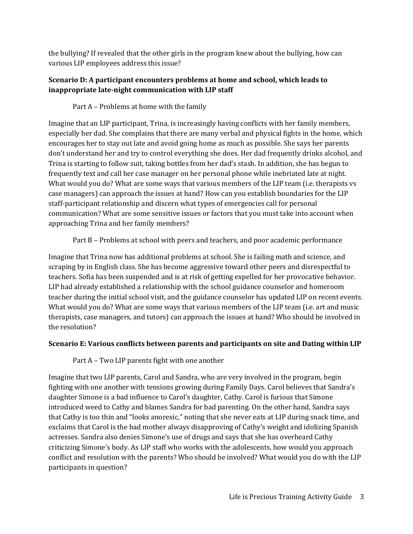the bullying? If revealed that the other girls in the program knew about the bullying, how can various LIP employees address this issue?

### **Scenario D: A participant encounters problems at home and school, which leads to inappropriate late-night communication with LIP staff**

Part A – Problems at home with the family

Imagine that an LIP participant, Trina, is increasingly having conflicts with her family members, especially her dad. She complains that there are many verbal and physical fights in the home, which encourages her to stay out late and avoid going home as much as possible. She says her parents don't understand her and try to control everything she does. Her dad frequently drinks alcohol, and Trina is starting to follow suit, taking bottles from her dad's stash. In addition, she has begun to frequently text and call her case manager on her personal phone while inebriated late at night. What would you do? What are some ways that various members of the LIP team (i.e. therapists vs case managers) can approach the issues at hand? How can you establish boundaries for the LIP staff-participant relationship and discern what types of emergencies call for personal communication? What are some sensitive issues or factors that you must take into account when approaching Trina and her family members?

### Part B – Problems at school with peers and teachers, and poor academic performance

Imagine that Trina now has additional problems at school. She is failing math and science, and scraping by in English class. She has become aggressive toward other peers and disrespectful to teachers. Sofia has been suspended and is at risk of getting expelled for her provocative behavior. LIP had already established a relationship with the school guidance counselor and homeroom teacher during the initial school visit, and the guidance counselor has updated LIP on recent events. What would you do? What are some ways that various members of the LIP team (i.e. art and music therapists, case managers, and tutors) can approach the issues at hand? Who should be involved in the resolution?

#### **Scenario E: Various conflicts between parents and participants on site and Dating within LIP**

Part A – Two LIP parents fight with one another

Imagine that two LIP parents, Carol and Sandra, who are very involved in the program, begin fighting with one another with tensions growing during Family Days. Carol believes that Sandra's daughter Simone is a bad influence to Carol's daughter, Cathy. Carol is furious that Simone introduced weed to Cathy and blames Sandra for bad parenting. On the other hand, Sandra says that Cathy is too thin and "looks anorexic," noting that she never eats at LIP during snack time, and exclaims that Carol is the bad mother always disapproving of Cathy's weight and idolizing Spanish actresses. Sandra also denies Simone's use of drugs and says that she has overheard Cathy criticizing Simone's body. As LIP staff who works with the adolescents, how would you approach conflict and resolution with the parents? Who should be involved? What would you do with the LIP participants in question?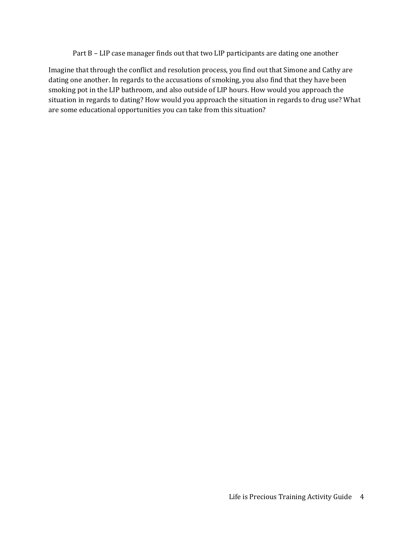Part B – LIP case manager finds out that two LIP participants are dating one another

Imagine that through the conflict and resolution process, you find out that Simone and Cathy are dating one another. In regards to the accusations of smoking, you also find that they have been smoking pot in the LIP bathroom, and also outside of LIP hours. How would you approach the situation in regards to dating? How would you approach the situation in regards to drug use? What are some educational opportunities you can take from this situation?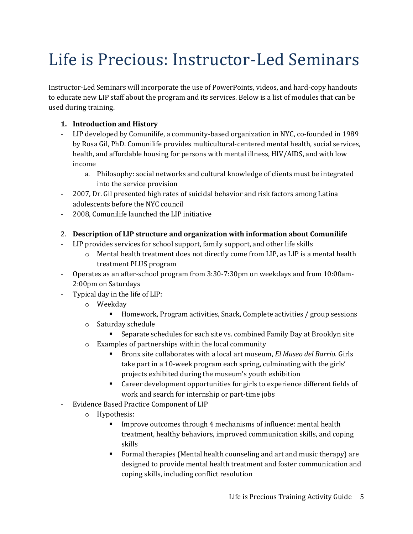# Life is Precious: Instructor-Led Seminars

Instructor-Led Seminars will incorporate the use of PowerPoints, videos, and hard-copy handouts to educate new LIP staff about the program and its services. Below is a list of modules that can be used during training.

### **1. Introduction and History**

- LIP developed by Comunilife, a community-based organization in NYC, co-founded in 1989 by Rosa Gil, PhD. Comunilife provides multicultural-centered mental health, social services, health, and affordable housing for persons with mental illness, HIV/AIDS, and with low income
	- a. Philosophy: social networks and cultural knowledge of clients must be integrated into the service provision
- 2007, Dr. Gil presented high rates of suicidal behavior and risk factors among Latina adolescents before the NYC council
- 2008, Comunilife launched the LIP initiative
- 2. **Description of LIP structure and organization with information about Comunilife**
- LIP provides services for school support, family support, and other life skills
	- $\circ$  Mental health treatment does not directly come from LIP, as LIP is a mental health treatment PLUS program
- Operates as an after-school program from 3:30-7:30pm on weekdays and from 10:00am-2:00pm on Saturdays
- Typical day in the life of LIP:
	- o Weekday
		- Homework, Program activities, Snack, Complete activities / group sessions
	- o Saturday schedule
		- Separate schedules for each site vs. combined Family Day at Brooklyn site
	- o Examples of partnerships within the local community
		- Bronx site collaborates with a local art museum, *El Museo del Barrio*. Girls take part in a 10-week program each spring, culminating with the girls' projects exhibited during the museum's youth exhibition
		- Career development opportunities for girls to experience different fields of work and search for internship or part-time jobs
- Evidence Based Practice Component of LIP
	- o Hypothesis:
		- **EXECUTE:** Improve outcomes through 4 mechanisms of influence: mental health treatment, healthy behaviors, improved communication skills, and coping skills
		- Formal therapies (Mental health counseling and art and music therapy) are designed to provide mental health treatment and foster communication and coping skills, including conflict resolution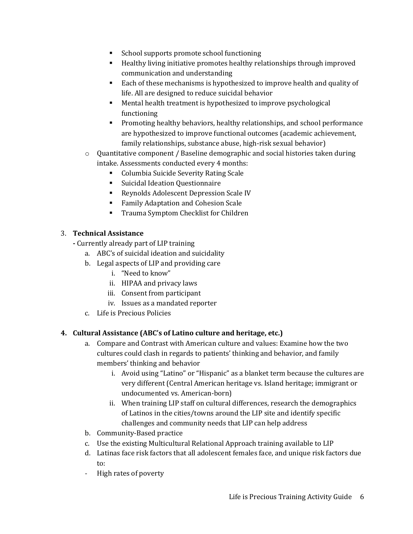- School supports promote school functioning
- Healthy living initiative promotes healthy relationships through improved communication and understanding
- Each of these mechanisms is hypothesized to improve health and quality of life. All are designed to reduce suicidal behavior
- Mental health treatment is hypothesized to improve psychological functioning
- Promoting healthy behaviors, healthy relationships, and school performance are hypothesized to improve functional outcomes (academic achievement, family relationships, substance abuse, high-risk sexual behavior)
- $\circ$  Quantitative component / Baseline demographic and social histories taken during intake. Assessments conducted every 4 months:
	- Columbia Suicide Severity Rating Scale
	- Suicidal Ideation Questionnaire
	- Reynolds Adolescent Depression Scale IV
	- Family Adaptation and Cohesion Scale
	- Trauma Symptom Checklist for Children

### 3. **Technical Assistance**

- **-** Currently already part of LIP training
	- a. ABC's of suicidal ideation and suicidality
	- b. Legal aspects of LIP and providing care
		- i. "Need to know"
		- ii. HIPAA and privacy laws
		- iii. Consent from participant
		- iv. Issues as a mandated reporter
	- c. Life is Precious Policies

## **4. Cultural Assistance (ABC's of Latino culture and heritage, etc.)**

- a. Compare and Contrast with American culture and values: Examine how the two cultures could clash in regards to patients' thinking and behavior, and family members' thinking and behavior
	- i. Avoid using "Latino" or "Hispanic" as a blanket term because the cultures are very different (Central American heritage vs. Island heritage; immigrant or undocumented vs. American-born)
	- ii. When training LIP staff on cultural differences, research the demographics of Latinos in the cities/towns around the LIP site and identify specific challenges and community needs that LIP can help address
- b. Community-Based practice
- c. Use the existing Multicultural Relational Approach training available to LIP
- d. Latinas face risk factors that all adolescent females face, and unique risk factors due to:
- High rates of poverty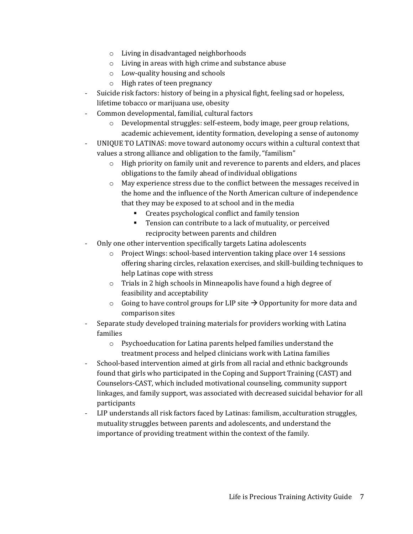- o Living in disadvantaged neighborhoods
- o Living in areas with high crime and substance abuse
- o Low-quality housing and schools
- o High rates of teen pregnancy
- Suicide risk factors: history of being in a physical fight, feeling sad or hopeless, lifetime tobacco or marijuana use, obesity
- Common developmental, familial, cultural factors
	- o Developmental struggles: self-esteem, body image, peer group relations, academic achievement, identity formation, developing a sense of autonomy
- UNIQUE TO LATINAS: move toward autonomy occurs within a cultural context that values a strong alliance and obligation to the family, "familism"
	- o High priority on family unit and reverence to parents and elders, and places obligations to the family ahead of individual obligations
	- o May experience stress due to the conflict between the messages received in the home and the influence of the North American culture of independence that they may be exposed to at school and in the media
		- Creates psychological conflict and family tension
		- Tension can contribute to a lack of mutuality, or perceived reciprocity between parents and children
- Only one other intervention specifically targets Latina adolescents
	- $\circ$  Project Wings: school-based intervention taking place over 14 sessions offering sharing circles, relaxation exercises, and skill-building techniques to help Latinas cope with stress
	- o Trials in 2 high schools in Minneapolis have found a high degree of feasibility and acceptability
	- $\circ$  Going to have control groups for LIP site  $\rightarrow$  Opportunity for more data and comparison sites
- Separate study developed training materials for providers working with Latina families
	- o Psychoeducation for Latina parents helped families understand the treatment process and helped clinicians work with Latina families
- School-based intervention aimed at girls from all racial and ethnic backgrounds found that girls who participated in the Coping and Support Training (CAST) and Counselors-CAST, which included motivational counseling, community support linkages, and family support, was associated with decreased suicidal behavior for all participants
- LIP understands all risk factors faced by Latinas: familism, acculturation struggles, mutuality struggles between parents and adolescents, and understand the importance of providing treatment within the context of the family.